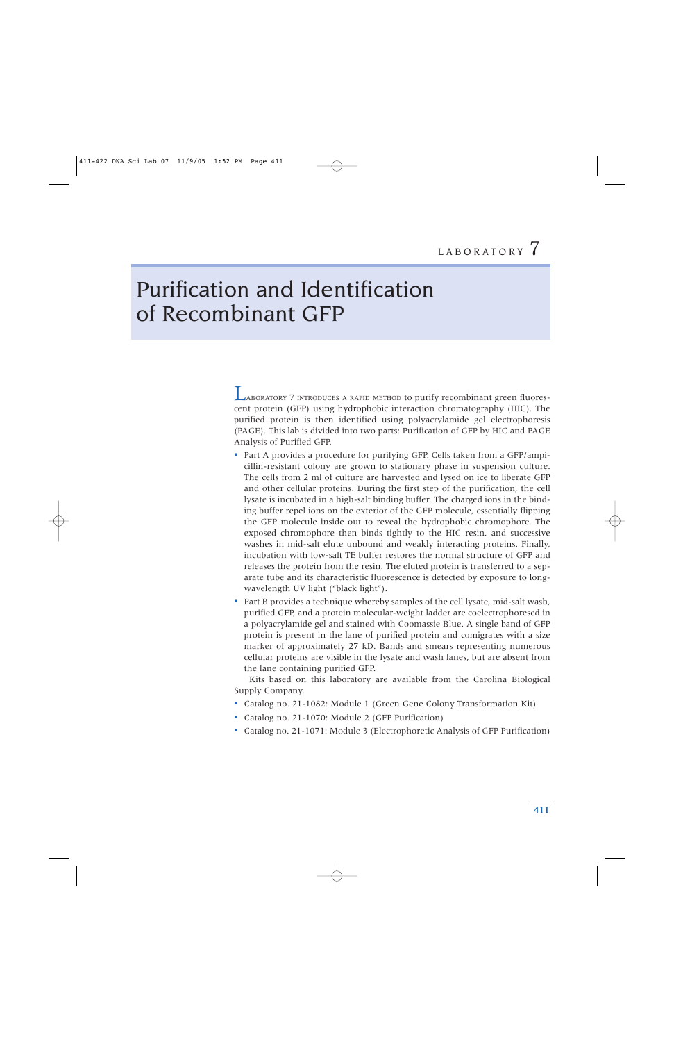# Purification and Identification of Recombinant GFP

LABORATORY 7 INTRODUCES A RAPID METHOD to purify recombinant green fluorescent protein (GFP) using hydrophobic interaction chromatography (HIC). The purified protein is then identified using polyacrylamide gel electrophoresis (PAGE). This lab is divided into two parts: Purification of GFP by HIC and PAGE Analysis of Purified GFP.

- Part A provides a procedure for purifying GFP. Cells taken from a GFP/ampicillin-resistant colony are grown to stationary phase in suspension culture. The cells from 2 ml of culture are harvested and lysed on ice to liberate GFP and other cellular proteins. During the first step of the purification, the cell lysate is incubated in a high-salt binding buffer. The charged ions in the binding buffer repel ions on the exterior of the GFP molecule, essentially flipping the GFP molecule inside out to reveal the hydrophobic chromophore. The exposed chromophore then binds tightly to the HIC resin, and successive washes in mid-salt elute unbound and weakly interacting proteins. Finally, incubation with low-salt TE buffer restores the normal structure of GFP and releases the protein from the resin. The eluted protein is transferred to a separate tube and its characteristic fluorescence is detected by exposure to longwavelength UV light ("black light").
- Part B provides a technique whereby samples of the cell lysate, mid-salt wash, purified GFP, and a protein molecular-weight ladder are coelectrophoresed in a polyacrylamide gel and stained with Coomassie Blue. A single band of GFP protein is present in the lane of purified protein and comigrates with a size marker of approximately 27 kD. Bands and smears representing numerous cellular proteins are visible in the lysate and wash lanes, but are absent from the lane containing purified GFP.

Kits based on this laboratory are available from the Carolina Biological Supply Company.

- Catalog no. 21-1082: Module 1 (Green Gene Colony Transformation Kit)
- Catalog no. 21-1070: Module 2 (GFP Purification)
- Catalog no. 21-1071: Module 3 (Electrophoretic Analysis of GFP Purification)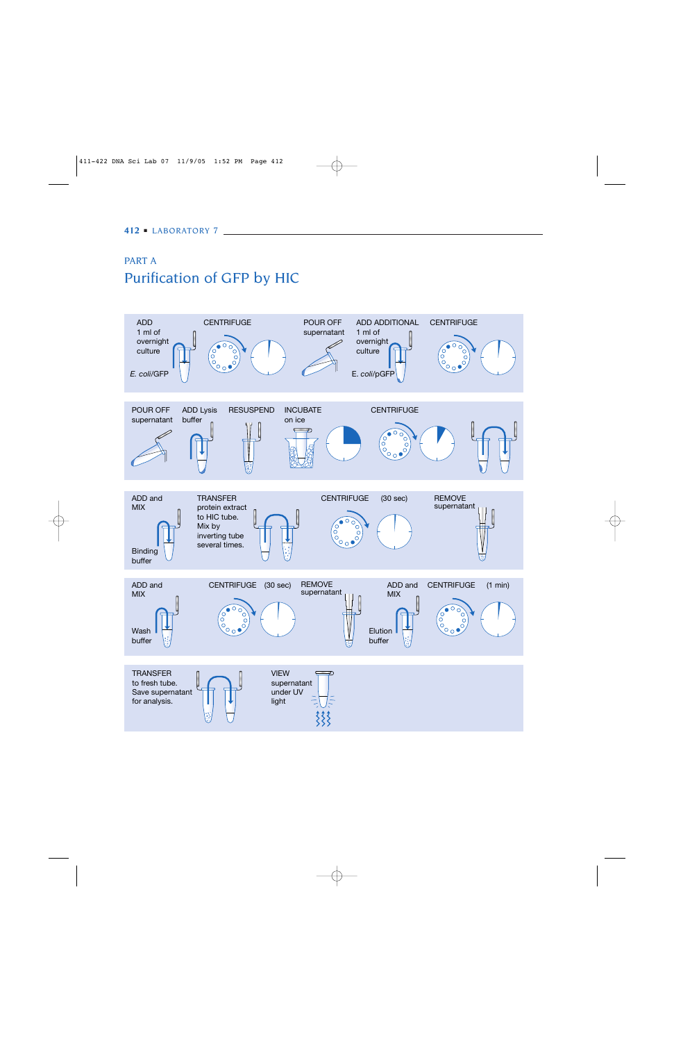## PART A Purification of GFP by HIC

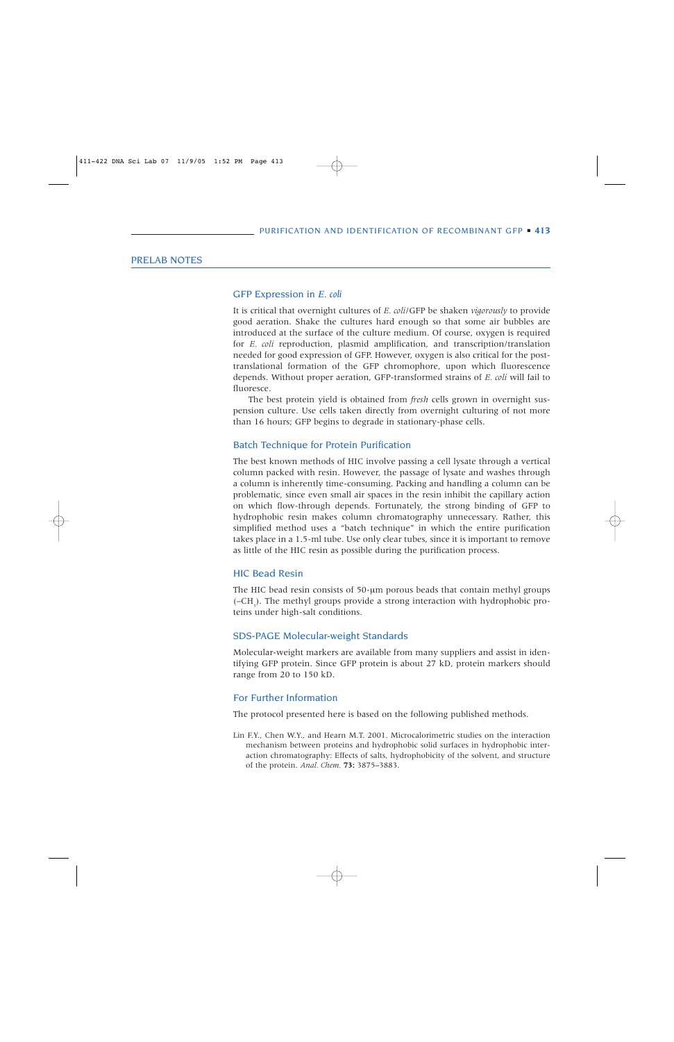#### PRELAB NOTES

#### GFP Expression in *E. coli*

It is critical that overnight cultures of *E. coli*/GFP be shaken *vigorously* to provide good aeration. Shake the cultures hard enough so that some air bubbles are introduced at the surface of the culture medium. Of course, oxygen is required for *E. coli* reproduction, plasmid amplification, and transcription/translation needed for good expression of GFP. However, oxygen is also critical for the posttranslational formation of the GFP chromophore, upon which fluorescence depends. Without proper aeration, GFP-transformed strains of *E. coli* will fail to fluoresce.

The best protein yield is obtained from *fresh* cells grown in overnight suspension culture. Use cells taken directly from overnight culturing of not more than 16 hours; GFP begins to degrade in stationary-phase cells.

#### Batch Technique for Protein Purification

The best known methods of HIC involve passing a cell lysate through a vertical column packed with resin. However, the passage of lysate and washes through a column is inherently time-consuming. Packing and handling a column can be problematic, since even small air spaces in the resin inhibit the capillary action on which flow-through depends. Fortunately, the strong binding of GFP to hydrophobic resin makes column chromatography unnecessary. Rather, this simplified method uses a "batch technique" in which the entire purification takes place in a 1.5-ml tube. Use only clear tubes, since it is important to remove as little of the HIC resin as possible during the purification process.

#### HIC Bead Resin

The HIC bead resin consists of 50-µm porous beads that contain methyl groups (–CH3 ). The methyl groups provide a strong interaction with hydrophobic proteins under high-salt conditions.

#### SDS-PAGE Molecular-weight Standards

Molecular-weight markers are available from many suppliers and assist in identifying GFP protein. Since GFP protein is about 27 kD, protein markers should range from 20 to 150 kD.

#### For Further Information

The protocol presented here is based on the following published methods.

Lin F.Y., Chen W.Y., and Hearn M.T. 2001. Microcalorimetric studies on the interaction mechanism between proteins and hydrophobic solid surfaces in hydrophobic interaction chromatography: Effects of salts, hydrophobicity of the solvent, and structure of the protein. *Anal. Chem.* **73:** 3875–3883.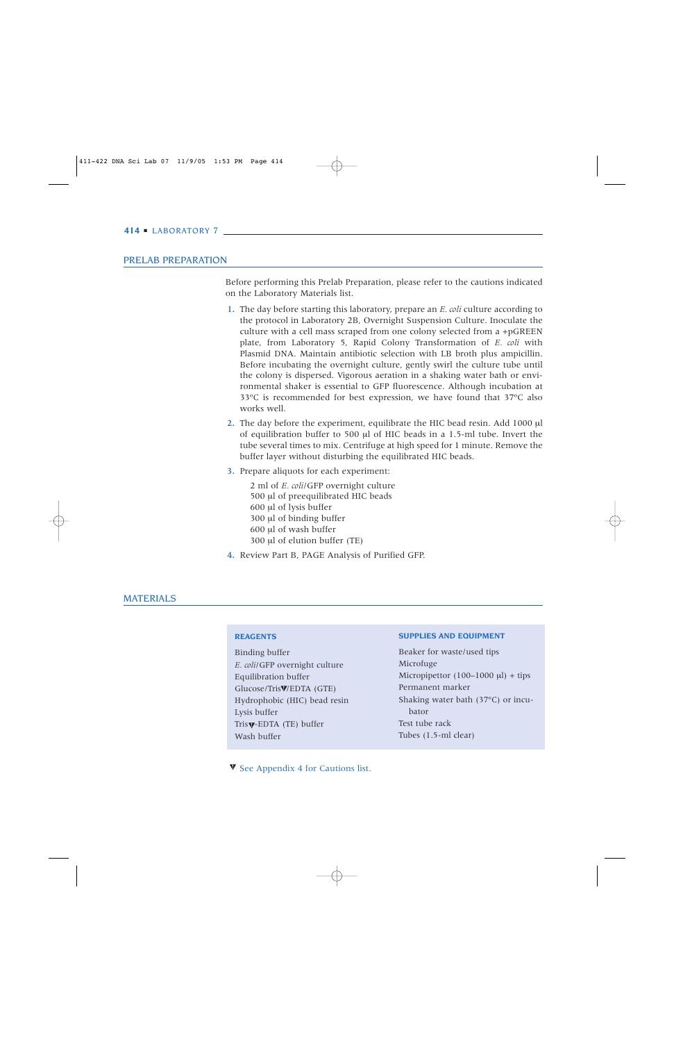#### PRELAB PREPARATION

Before performing this Prelab Preparation, please refer to the cautions indicated on the Laboratory Materials list.

- 1. The day before starting this laboratory, prepare an *E. coli* culture according to the protocol in Laboratory 2B, Overnight Suspension Culture. Inoculate the culture with a cell mass scraped from one colony selected from a +pGREEN plate, from Laboratory 5, Rapid Colony Transformation of *E. coli* with Plasmid DNA. Maintain antibiotic selection with LB broth plus ampicillin. Before incubating the overnight culture, gently swirl the culture tube until the colony is dispersed. Vigorous aeration in a shaking water bath or environmental shaker is essential to GFP fluorescence. Although incubation at 33ºC is recommended for best expression, we have found that 37ºC also works well.
- 2. The day before the experiment, equilibrate the HIC bead resin. Add 1000 µl of equilibration buffer to 500 µl of HIC beads in a 1.5-ml tube. Invert the tube several times to mix. Centrifuge at high speed for 1 minute. Remove the buffer layer without disturbing the equilibrated HIC beads.
- 3. Prepare aliquots for each experiment:

2 ml of *E. coli*/GFP overnight culture µl of preequilibrated HIC beads µl of lysis buffer µl of binding buffer µl of wash buffer µl of elution buffer (TE)

4. Review Part B, PAGE Analysis of Purified GFP.

#### **MATERIALS**

#### **REAGENTS**

Binding buffer *E. coli*/GFP overnight culture Equilibration buffer Glucose/Tris /EDTA (GTE) Hydrophobic (HIC) bead resin Lysis buffer Tris $\nabla$ -EDTA (TE) buffer Wash buffer

#### **SUPPLIES AND EQUIPMENT**

Beaker for waste/used tips Microfuge Micropipettor  $(100–1000 \mu l)$  + tips Permanent marker Shaking water bath (37ºC) or incubator Test tube rack Tubes (1.5-ml clear)

 $\triangledown$  See Appendix 4 for Cautions list.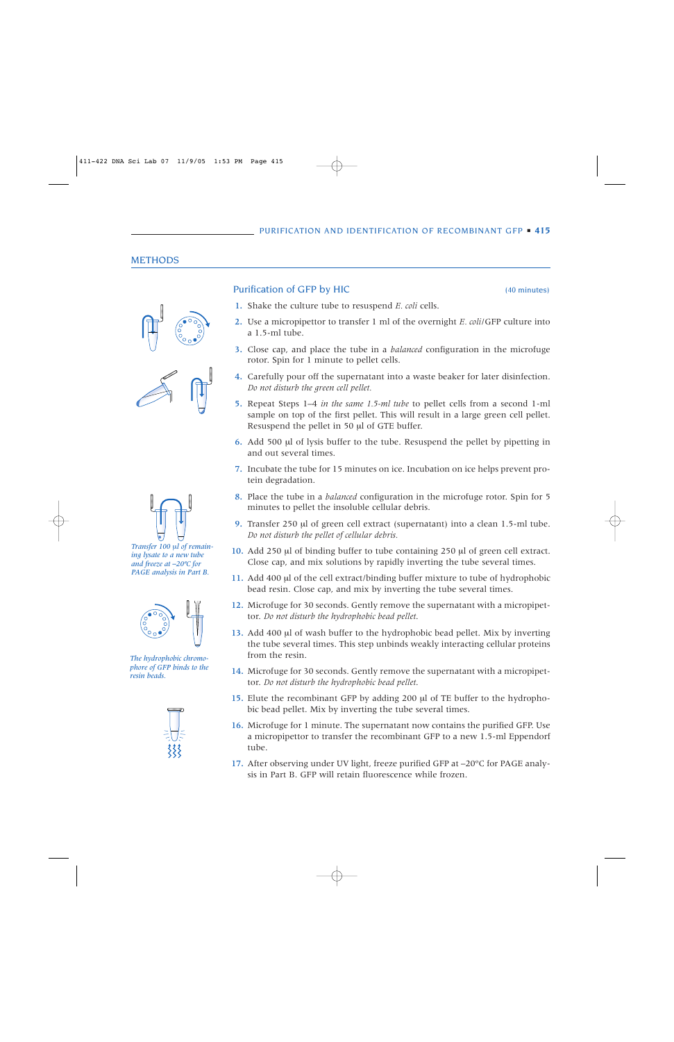#### METHODS







*Transfer 100* µ*l of remaining lysate to a new tube and freeze at –20ºC for PAGE analysis in Part B.*



*The hydrophobic chromophore of GFP binds to the resin beads.*



#### Purification of GFP by HIC (40 minutes)

- 1. Shake the culture tube to resuspend *E. coli* cells.
- 2. Use a micropipettor to transfer 1 ml of the overnight *E. coli*/GFP culture into a 1.5-ml tube.
- 3. Close cap, and place the tube in a *balanced* configuration in the microfuge rotor. Spin for 1 minute to pellet cells.
- 4. Carefully pour off the supernatant into a waste beaker for later disinfection. *Do not disturb the green cell pellet.*
- 5. Repeat Steps 1–4 *in the same 1.5-ml tube* to pellet cells from a second 1-ml sample on top of the first pellet. This will result in a large green cell pellet. Resuspend the pellet in 50 µl of GTE buffer.
- 6. Add 500 µl of lysis buffer to the tube. Resuspend the pellet by pipetting in and out several times.
- 7. Incubate the tube for 15 minutes on ice. Incubation on ice helps prevent protein degradation.
- 8. Place the tube in a *balanced* configuration in the microfuge rotor. Spin for 5 minutes to pellet the insoluble cellular debris.
- 9. Transfer 250 µl of green cell extract (supernatant) into a clean 1.5-ml tube. *Do not disturb the pellet of cellular debris.*
- 10. Add 250 µl of binding buffer to tube containing 250 µl of green cell extract. Close cap, and mix solutions by rapidly inverting the tube several times.
- 11. Add 400 µl of the cell extract/binding buffer mixture to tube of hydrophobic bead resin. Close cap, and mix by inverting the tube several times.
- 12. Microfuge for 30 seconds. Gently remove the supernatant with a micropipettor. *Do not disturb the hydrophobic bead pellet*.
- 13. Add 400 µl of wash buffer to the hydrophobic bead pellet. Mix by inverting the tube several times. This step unbinds weakly interacting cellular proteins from the resin.
- 14. Microfuge for 30 seconds. Gently remove the supernatant with a micropipettor. *Do not disturb the hydrophobic bead pellet*.
- 15. Elute the recombinant GFP by adding 200 µl of TE buffer to the hydrophobic bead pellet. Mix by inverting the tube several times.
- 16. Microfuge for 1 minute. The supernatant now contains the purified GFP. Use a micropipettor to transfer the recombinant GFP to a new 1.5-ml Eppendorf tube.
- 17. After observing under UV light, freeze purified GFP at –20ºC for PAGE analysis in Part B. GFP will retain fluorescence while frozen.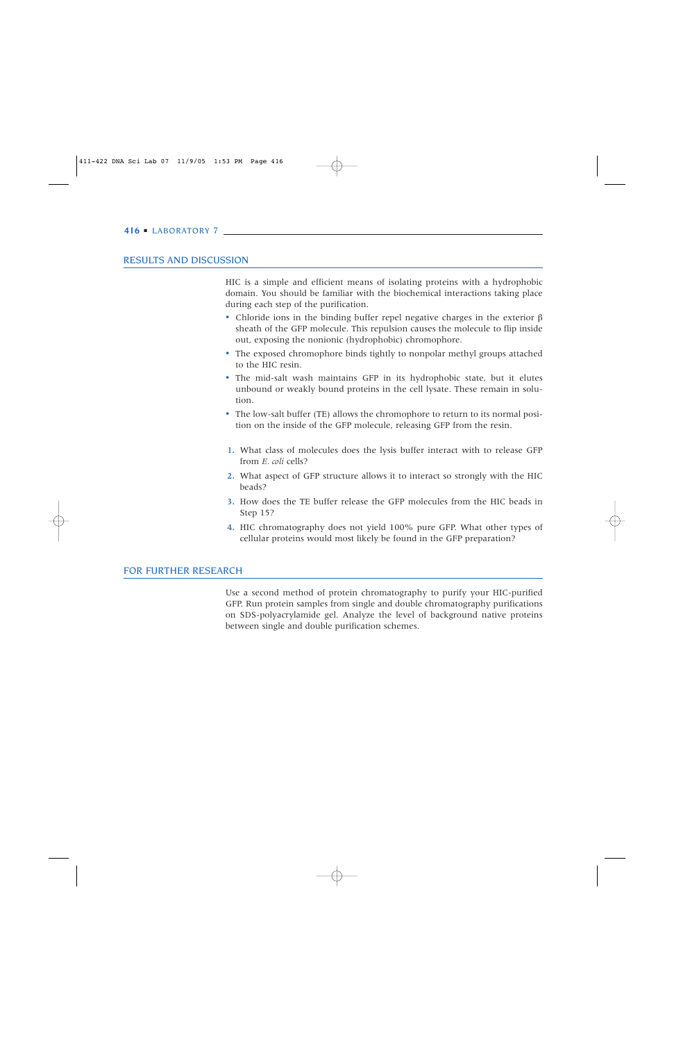#### RESULTS AND DISCUSSION

HIC is a simple and efficient means of isolating proteins with a hydrophobic domain. You should be familiar with the biochemical interactions taking place during each step of the purification.

- Chloride ions in the binding buffer repel negative charges in the exterior  $\beta$ sheath of the GFP molecule. This repulsion causes the molecule to flip inside out, exposing the nonionic (hydrophobic) chromophore.
- The exposed chromophore binds tightly to nonpolar methyl groups attached to the HIC resin.
- The mid-salt wash maintains GFP in its hydrophobic state, but it elutes unbound or weakly bound proteins in the cell lysate. These remain in solution.
- The low-salt buffer (TE) allows the chromophore to return to its normal position on the inside of the GFP molecule, releasing GFP from the resin.
- 1. What class of molecules does the lysis buffer interact with to release GFP from *E. coli* cells?
- 2. What aspect of GFP structure allows it to interact so strongly with the HIC beads?
- 3. How does the TE buffer release the GFP molecules from the HIC beads in Step 15?
- 4. HIC chromatography does not yield 100% pure GFP. What other types of cellular proteins would most likely be found in the GFP preparation?

#### FOR FURTHER RESEARCH

Use a second method of protein chromatography to purify your HIC-purified GFP. Run protein samples from single and double chromatography purifications on SDS-polyacrylamide gel. Analyze the level of background native proteins between single and double purification schemes.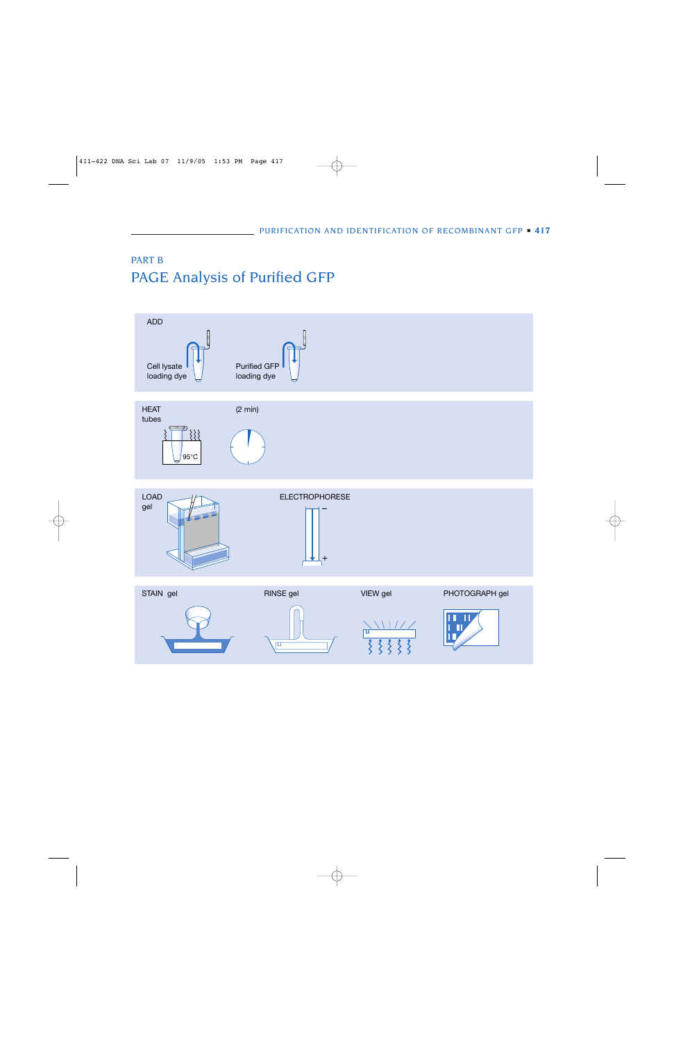### PART B PAGE Analysis of Purified GFP

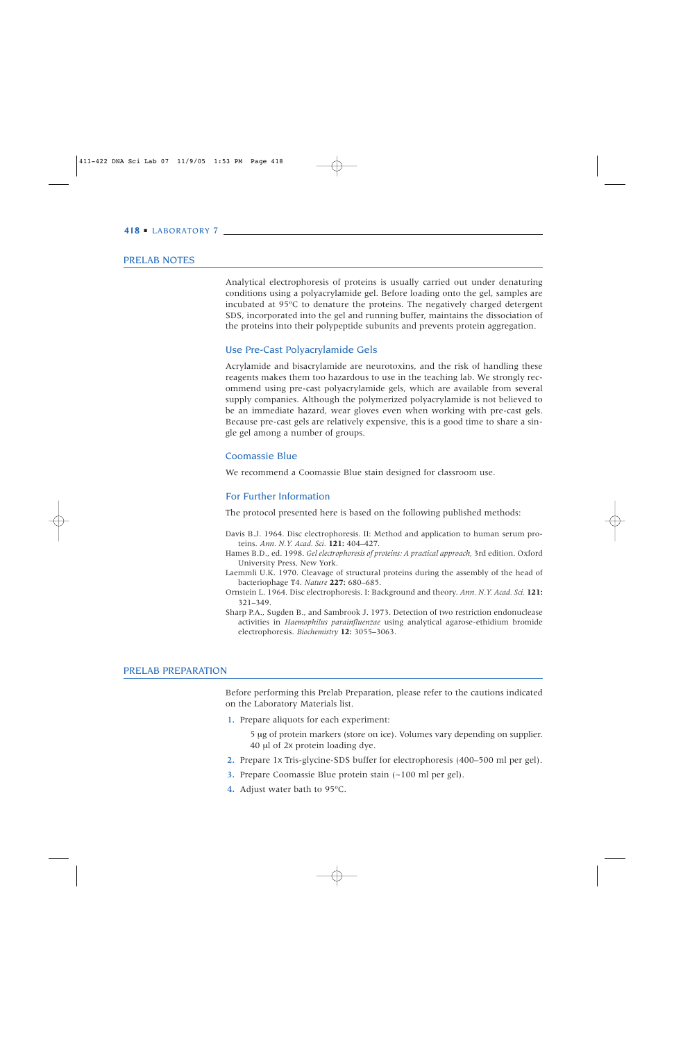#### PRELAB NOTES

Analytical electrophoresis of proteins is usually carried out under denaturing conditions using a polyacrylamide gel. Before loading onto the gel, samples are incubated at 95ºC to denature the proteins. The negatively charged detergent SDS, incorporated into the gel and running buffer, maintains the dissociation of the proteins into their polypeptide subunits and prevents protein aggregation.

#### Use Pre-Cast Polyacrylamide Gels

Acrylamide and bisacrylamide are neurotoxins, and the risk of handling these reagents makes them too hazardous to use in the teaching lab. We strongly recommend using pre-cast polyacrylamide gels, which are available from several supply companies. Although the polymerized polyacrylamide is not believed to be an immediate hazard, wear gloves even when working with pre-cast gels. Because pre-cast gels are relatively expensive, this is a good time to share a single gel among a number of groups.

#### Coomassie Blue

We recommend a Coomassie Blue stain designed for classroom use.

#### For Further Information

The protocol presented here is based on the following published methods:

- Davis B.J. 1964. Disc electrophoresis. II: Method and application to human serum proteins. *Ann. N.Y. Acad. Sci.* **121:** 404–427.
- Hames B.D., ed. 1998. *Gel electrophoresis of proteins: A practical approach,* 3rd edition. Oxford University Press, New York.
- Laemmli U.K. 1970. Cleavage of structural proteins during the assembly of the head of bacteriophage T4. *Nature* **227:** 680–685.
- Ornstein L. 1964. Disc electrophoresis. I: Background and theory. *Ann. N.Y. Acad. Sci.* **121:** 321–349.
- Sharp P.A., Sugden B., and Sambrook J. 1973. Detection of two restriction endonuclease activities in *Haemophilus parainfluenzae* using analytical agarose-ethidium bromide electrophoresis. *Biochemistry* **12:** 3055–3063.

#### PRELAB PREPARATION

Before performing this Prelab Preparation, please refer to the cautions indicated on the Laboratory Materials list.

1. Prepare aliquots for each experiment:

5 µg of protein markers (store on ice). Volumes vary depending on supplier. 40 µl of 2x protein loading dye.

- 2. Prepare 1x Tris-glycine-SDS buffer for electrophoresis (400–500 ml per gel).
- 3. Prepare Coomassie Blue protein stain (~100 ml per gel).
- 4. Adjust water bath to 95ºC.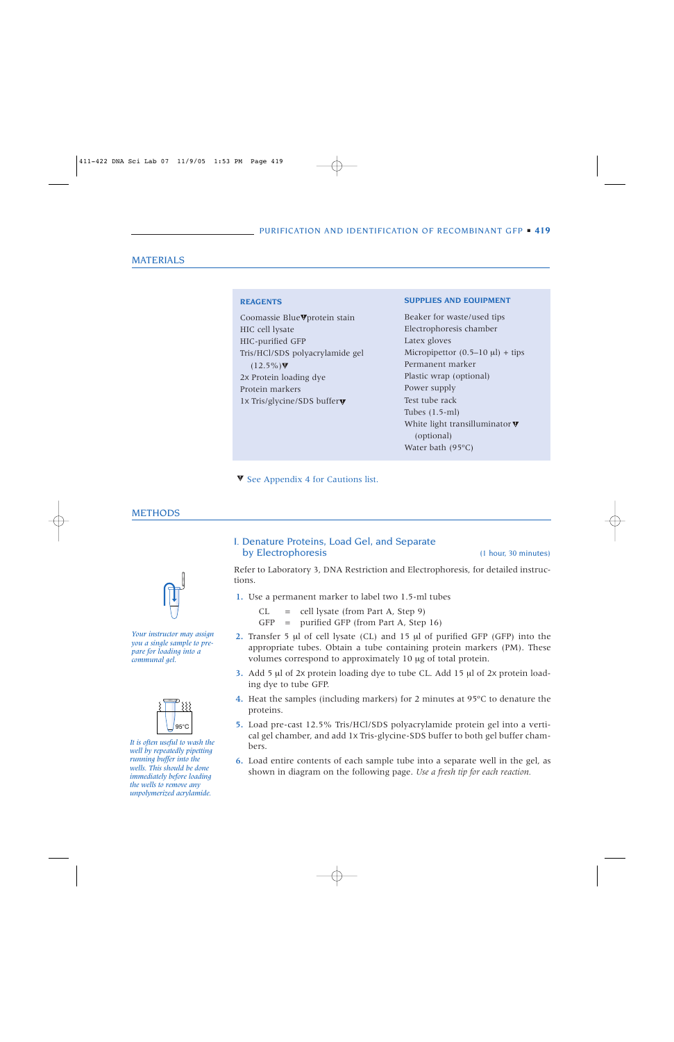#### MATERIALS

#### **REAGENTS**

Coomassie Blue Vprotein stain HIC cell lysate HIC-purified GFP Tris/HCl/SDS polyacrylamide gel  $(12.5\%)$ 2x Protein loading dye Protein markers 1x Tris/glycine/SDS buffer

#### **SUPPLIES AND EQUIPMENT**

Beaker for waste/used tips Electrophoresis chamber Latex gloves Micropipettor  $(0.5-10 \text{ µl})$  + tips Permanent marker Plastic wrap (optional) Power supply Test tube rack Tubes (1.5-ml) White light transilluminator  $\Psi$ (optional) Water bath (95ºC)

 $\triangledown$  See Appendix 4 for Cautions list.

#### **METHODS**

### I. Denature Proteins, Load Gel, and Separate by Electrophoresis (1 hour, 30 minutes)

Refer to Laboratory 3, DNA Restriction and Electrophoresis, for detailed instructions.

- 1. Use a permanent marker to label two 1.5-ml tubes
	- $CL = cell lysate (from Part A, Step 9)$
	- $GFP =$  purified  $GFP$  (from Part A, Step 16)
- 2. Transfer 5 µl of cell lysate (CL) and 15 µl of purified GFP (GFP) into the appropriate tubes. Obtain a tube containing protein markers (PM). These volumes correspond to approximately 10 µg of total protein.
- 3. Add 5 µl of 2x protein loading dye to tube CL. Add 15 µl of 2x protein loading dye to tube GFP.
- 4. Heat the samples (including markers) for 2 minutes at 95ºC to denature the proteins.
- 5. Load pre-cast 12.5% Tris/HCl/SDS polyacrylamide protein gel into a vertical gel chamber, and add 1x Tris-glycine-SDS buffer to both gel buffer chambers.
- 6. Load entire contents of each sample tube into a separate well in the gel, as shown in diagram on the following page. *Use a fresh tip for each reaction.*



*Your instructor may assign you a single sample to prepare for loading into a communal gel.*



*It is often useful to wash the well by repeatedly pipetting running buffer into the wells. This should be done immediately before loading the wells to remove any unpolymerized acrylamide.*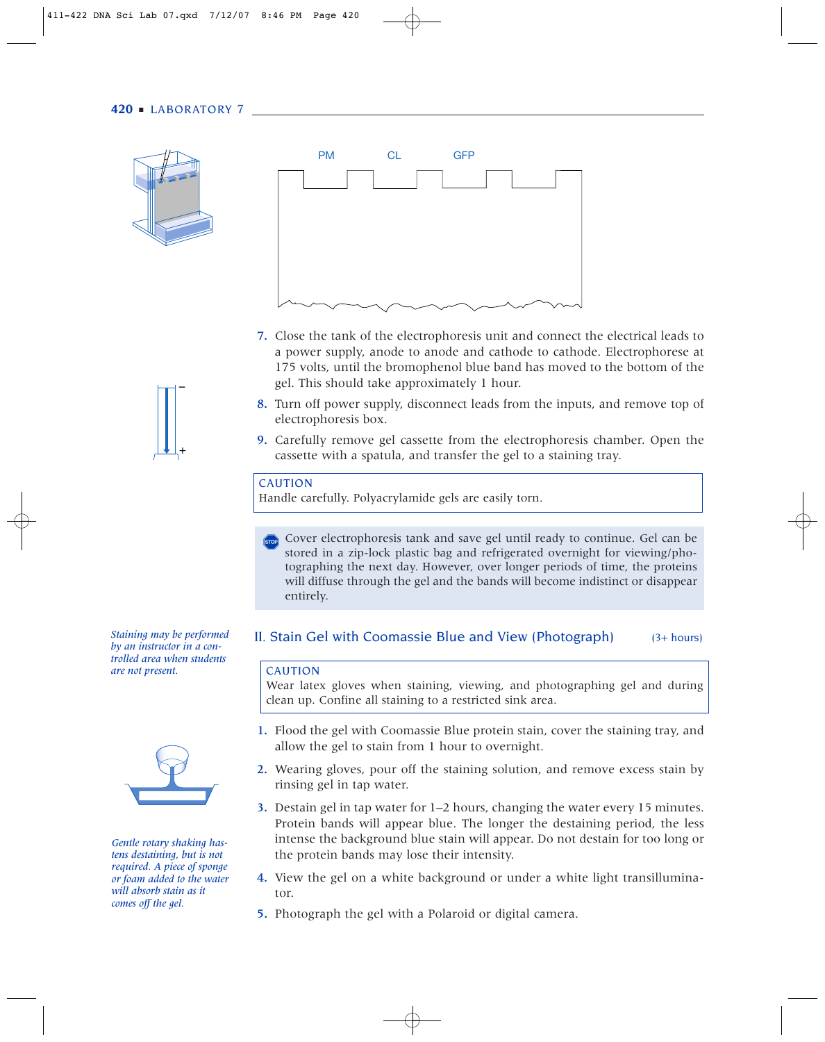

- 7. Close the tank of the electrophoresis unit and connect the electrical leads to a power supply, anode to anode and cathode to cathode. Electrophorese at 175 volts, until the bromophenol blue band has moved to the bottom of the gel. This should take approximately 1 hour.
- 8. Turn off power supply, disconnect leads from the inputs, and remove top of electrophoresis box.
- 9. Carefully remove gel cassette from the electrophoresis chamber. Open the cassette with a spatula, and transfer the gel to a staining tray.

#### CAUTION

Handle carefully. Polyacrylamide gels are easily torn.

Cover electrophoresis tank and save gel until ready to continue. Gel can be stored in a zip-lock plastic bag and refrigerated overnight for viewing/photographing the next day. However, over longer periods of time, the proteins will diffuse through the gel and the bands will become indistinct or disappear entirely. **STOP** 

*Staining may be performed by an instructor in a controlled area when students are not present.*

#### II. Stain Gel with Coomassie Blue and View (Photograph) (3+ hours)

#### CAUTION

Wear latex gloves when staining, viewing, and photographing gel and during clean up. Confine all staining to a restricted sink area.

- 1. Flood the gel with Coomassie Blue protein stain, cover the staining tray, and allow the gel to stain from 1 hour to overnight.
- 2. Wearing gloves, pour off the staining solution, and remove excess stain by



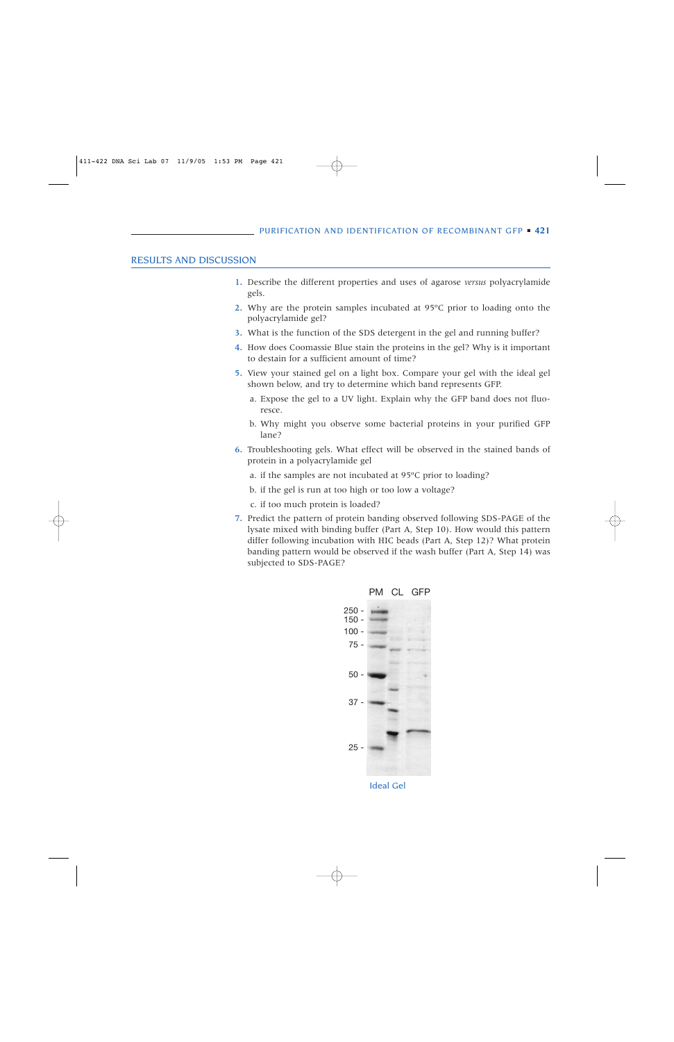#### RESULTS AND DISCUSSION

- 1. Describe the different properties and uses of agarose *versus* polyacrylamide gels.
- 2. Why are the protein samples incubated at 95ºC prior to loading onto the polyacrylamide gel?
- 3. What is the function of the SDS detergent in the gel and running buffer?
- 4. How does Coomassie Blue stain the proteins in the gel? Why is it important to destain for a sufficient amount of time?
- 5. View your stained gel on a light box. Compare your gel with the ideal gel shown below, and try to determine which band represents GFP.
	- a. Expose the gel to a UV light. Explain why the GFP band does not fluoresce.
	- b. Why might you observe some bacterial proteins in your purified GFP lane?
- 6. Troubleshooting gels. What effect will be observed in the stained bands of protein in a polyacrylamide gel
	- a. if the samples are not incubated at 95ºC prior to loading?
	- b. if the gel is run at too high or too low a voltage?
	- c. if too much protein is loaded?
- 7. Predict the pattern of protein banding observed following SDS-PAGE of the lysate mixed with binding buffer (Part A, Step 10). How would this pattern differ following incubation with HIC beads (Part A, Step 12)? What protein banding pattern would be observed if the wash buffer (Part A, Step 14) was subjected to SDS-PAGE?



Ideal Gel